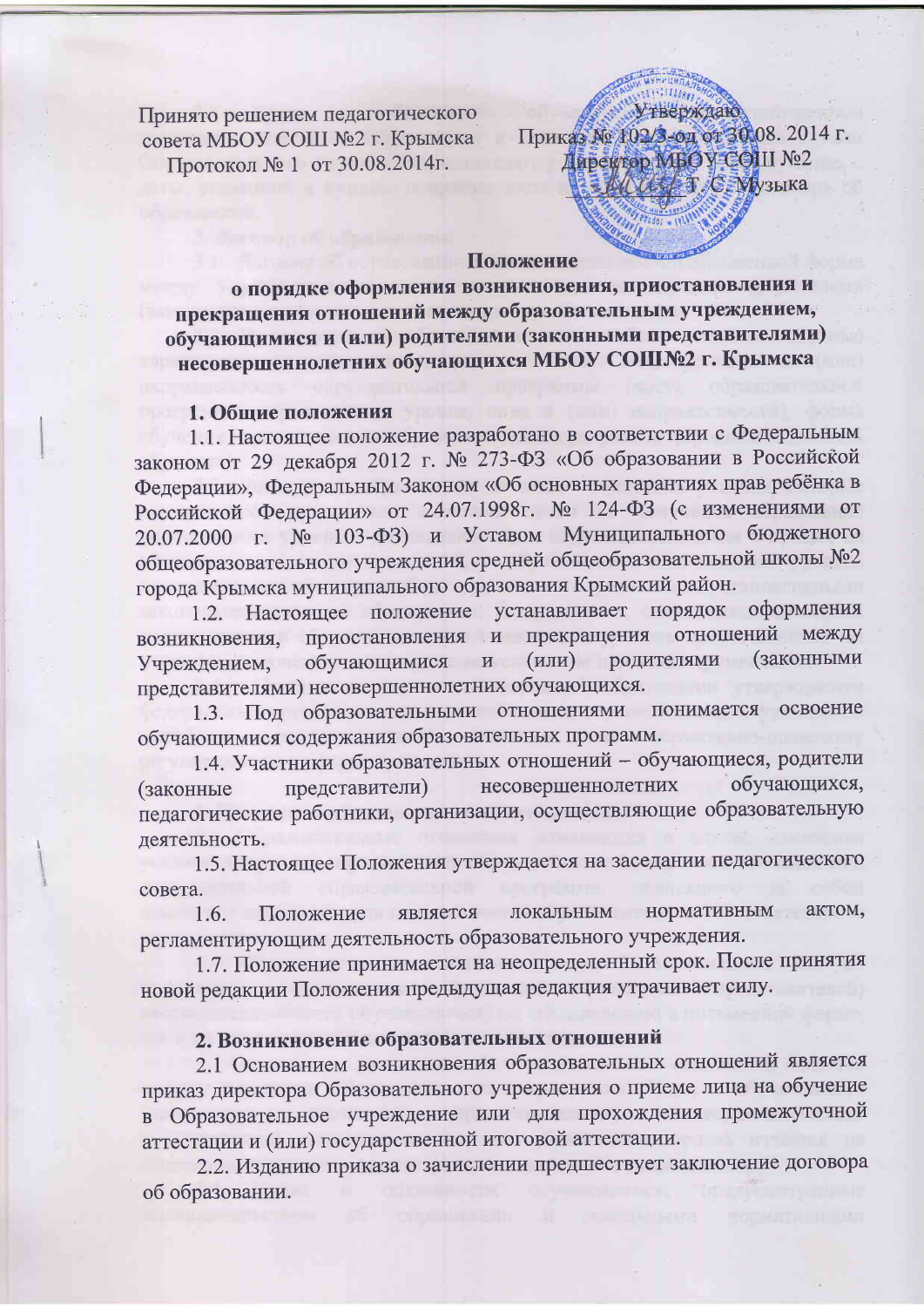Принято решением педагогического совета МБОУ СОШ №2 г. Крымска Протокол № 1 от 30.08.2014г.

**Утверждаю** Приказ № 102/3-од от 30.08. 2014 г. Даректор МБОУ СОШ №2 **ALL T C MV3LIKA** 

#### Положение

о порядке оформления возникновения, приостановления и прекращения отношений между образовательным учреждением, обучающимися и (или) родителями (законными представителями) несовершеннолетних обучающихся МБОУ СОШ№2 г. Крымска

#### 1. Общие положения

1.1. Настоящее положение разработано в соответствии с Федеральным законом от 29 декабря 2012 г. № 273-ФЗ «Об образовании в Российской Федерации», Федеральным Законом «Об основных гарантиях прав ребёнка в Российской Федерации» от 24.07.1998г. № 124-ФЗ (с изменениями от 20.07.2000 г. № 103-ФЗ) и Уставом Муниципального бюджетного общеобразовательного учреждения средней общеобразовательной школы №2 города Крымска муниципального образования Крымский район.

1.2. Настоящее положение устанавливает порядок оформления приостановления и прекращения отношений между возникновения, обучающимися и (или) родителями **(законными** Учреждением, представителями) несовершеннолетних обучающихся.

1.3. Под образовательными отношениями понимается освоение обучающимися содержания образовательных программ.

1.4. Участники образовательных отношений - обучающиеся, родители несовершеннолетних обучающихся, представители) (законные педагогические работники, организации, осуществляющие образовательную деятельность.

1.5. Настоящее Положения утверждается на заседании педагогического совета.

нормативным локальным актом, Положение является  $1.6.$ регламентирующим деятельность образовательного учреждения.

1.7. Положение принимается на неопределенный срок. После принятия новой редакции Положения предыдущая редакция утрачивает силу.

## 2. Возникновение образовательных отношений

2.1 Основанием возникновения образовательных отношений является приказ директора Образовательного учреждения о приеме лица на обучение в Образовательное учреждение или для прохождения промежуточной аттестации и (или) государственной итоговой аттестации.

2.2. Изданию приказа о зачислении предшествует заключение договора об образовании.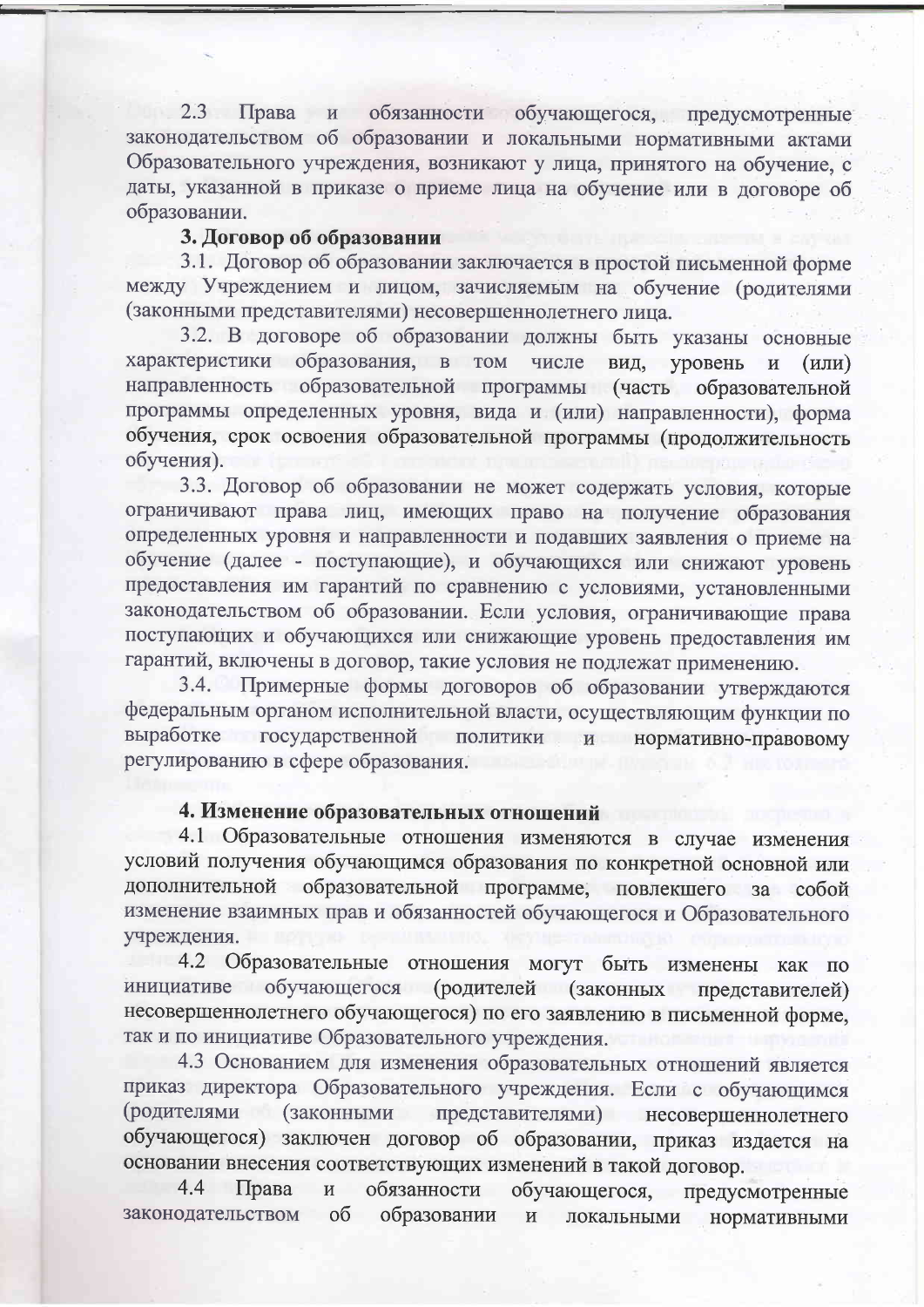Права и обязанности обучающегося, предусмотренные  $2.3$ законодательством об образовании и локальными нормативными актами Образовательного учреждения, возникают у лица, принятого на обучение, с даты, указанной в приказе о приеме лица на обучение или в договоре об образовании.

### 3. Договор об образовании

3.1. Договор об образовании заключается в простой письменной форме между Учреждением и лицом, зачисляемым на обучение (родителями (законными представителями) несовершеннолетнего лица.

3.2. В договоре об образовании должны быть указаны основные характеристики образования, в том числе вид, уровень  $\mathbf{M}$  $(MJH)$ направленность образовательной программы (часть образовательной программы определенных уровня, вида и (или) направленности), форма обучения, срок освоения образовательной программы (продолжительность обучения).

3.3. Договор об образовании не может содержать условия, которые ограничивают права лиц, имеющих право на получение образования определенных уровня и направленности и подавших заявления о приеме на обучение (далее - поступающие), и обучающихся или снижают уровень предоставления им гарантий по сравнению с условиями, установленными законодательством об образовании. Если условия, ограничивающие права поступающих и обучающихся или снижающие уровень предоставления им гарантий, включены в договор, такие условия не подлежат применению.

3.4. Примерные формы договоров об образовании утверждаются федеральным органом исполнительной власти, осуществляющим функции по выработке государственной политики и нормативно-правовому регулированию в сфере образования.

### 4. Изменение образовательных отношений

4.1 Образовательные отношения изменяются в случае изменения условий получения обучающимся образования по конкретной основной или дополнительной образовательной программе, повлекшего за собой изменение взаимных прав и обязанностей обучающегося и Образовательного учреждения.

4.2 Образовательные отношения могут быть изменены как по (родителей (законных представителей) инициативе обучающегося несовершеннолетнего обучающегося) по его заявлению в письменной форме, так и по инициативе Образовательного учреждения.

4.3 Основанием для изменения образовательных отношений является приказ директора Образовательного учреждения. Если с обучающимся (родителями (законными представителями) несовершеннолетнего обучающегося) заключен договор об образовании, приказ издается на основании внесения соответствующих изменений в такой договор.

обучающегося, предусмотренные обязанности 4.4 Права  $\,$   $\,$   $\,$   $\,$ образовании законодательством  $\overline{00}$  $\mathbf{M}$ локальными нормативными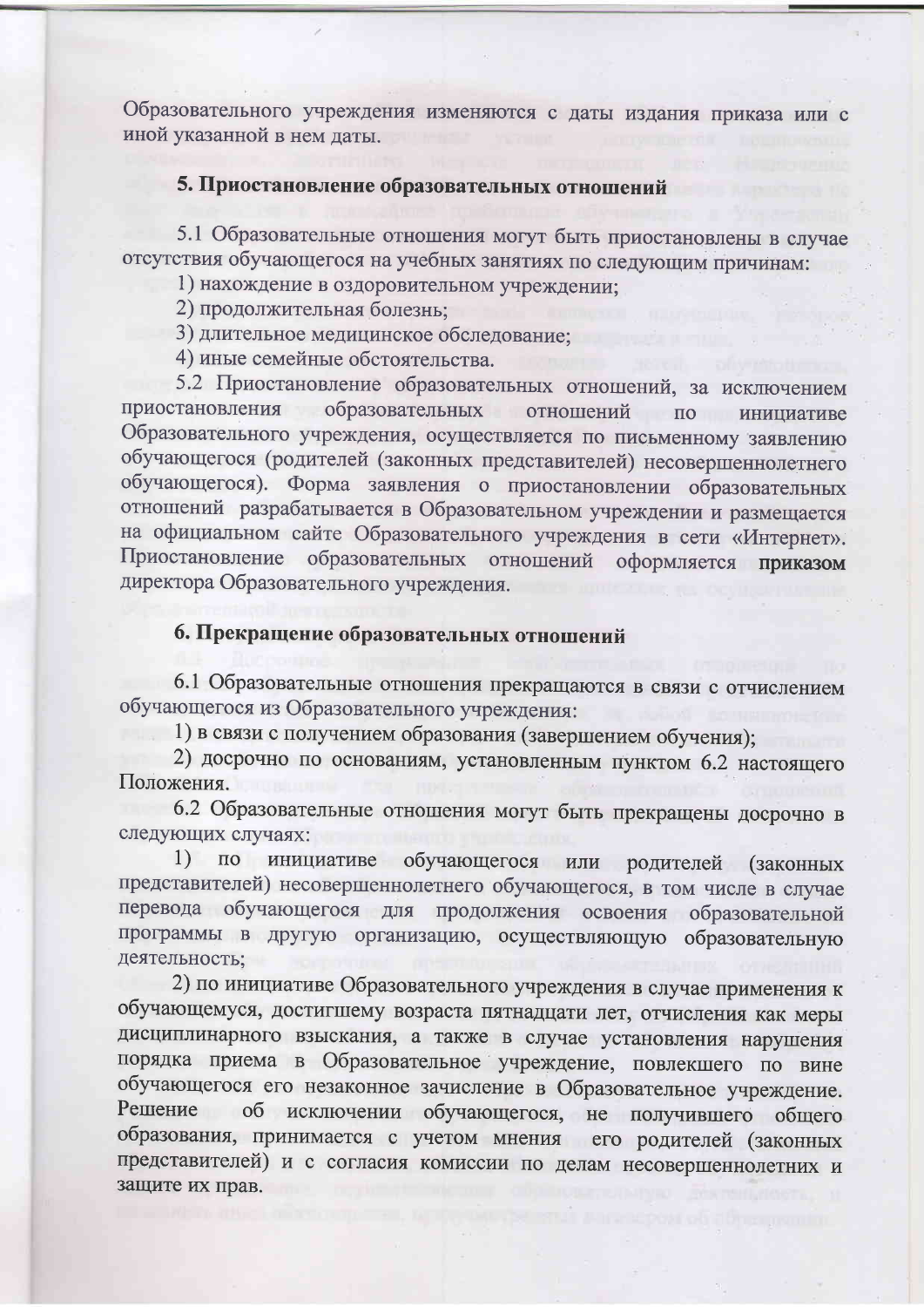Образовательного учреждения изменяются с даты издания приказа или с иной указанной в нем даты.

#### 5. Приостановление образовательных отношений

5.1 Образовательные отношения могут быть приостановлены в случае отсутствия обучающегося на учебных занятиях по следующим причинам:

1) нахождение в оздоровительном учреждении;

2) продолжительная болезнь;

3) длительное медицинское обследование:

4) иные семейные обстоятельства.

5.2 Приостановление образовательных отношений, за исключением приостановления образовательных отношений  $\Pi$ <sup>o</sup> инициативе Образовательного учреждения, осуществляется по письменному заявлению обучающегося (родителей (законных представителей) несовершеннолетнего обучающегося). Форма заявления о приостановлении образовательных отношений разрабатывается в Образовательном учреждении и размещается на официальном сайте Образовательного учреждения в сети «Интернет». Приостановление образовательных отношений оформляется приказом директора Образовательного учреждения.

### 6. Прекращение образовательных отношений

6.1 Образовательные отношения прекращаются в связи с отчислением обучающегося из Образовательного учреждения:

1) в связи с получением образования (завершением обучения);

2) досрочно по основаниям, установленным пунктом 6.2 настоящего Положения.

6.2 Образовательные отношения могут быть прекращены досрочно в следующих случаях:

по инициативе обучающегося или родителей (законных  $1)$ представителей) несовершеннолетнего обучающегося, в том числе в случае перевода обучающегося для продолжения освоения образовательной программы в другую организацию, осуществляющую образовательную деятельность;

2) по инициативе Образовательного учреждения в случае применения к обучающемуся, достигшему возраста пятнадцати лет, отчисления как меры дисциплинарного взыскания, а также в случае установления нарушения порядка приема в Образовательное учреждение, повлекшего по вине обучающегося его незаконное зачисление в Образовательное учреждение. об исключении обучающегося, не получившего общего Решение образования, принимается с учетом мнения его родителей (законных представителей) и с согласия комиссии по делам несовершеннолетних и защите их прав.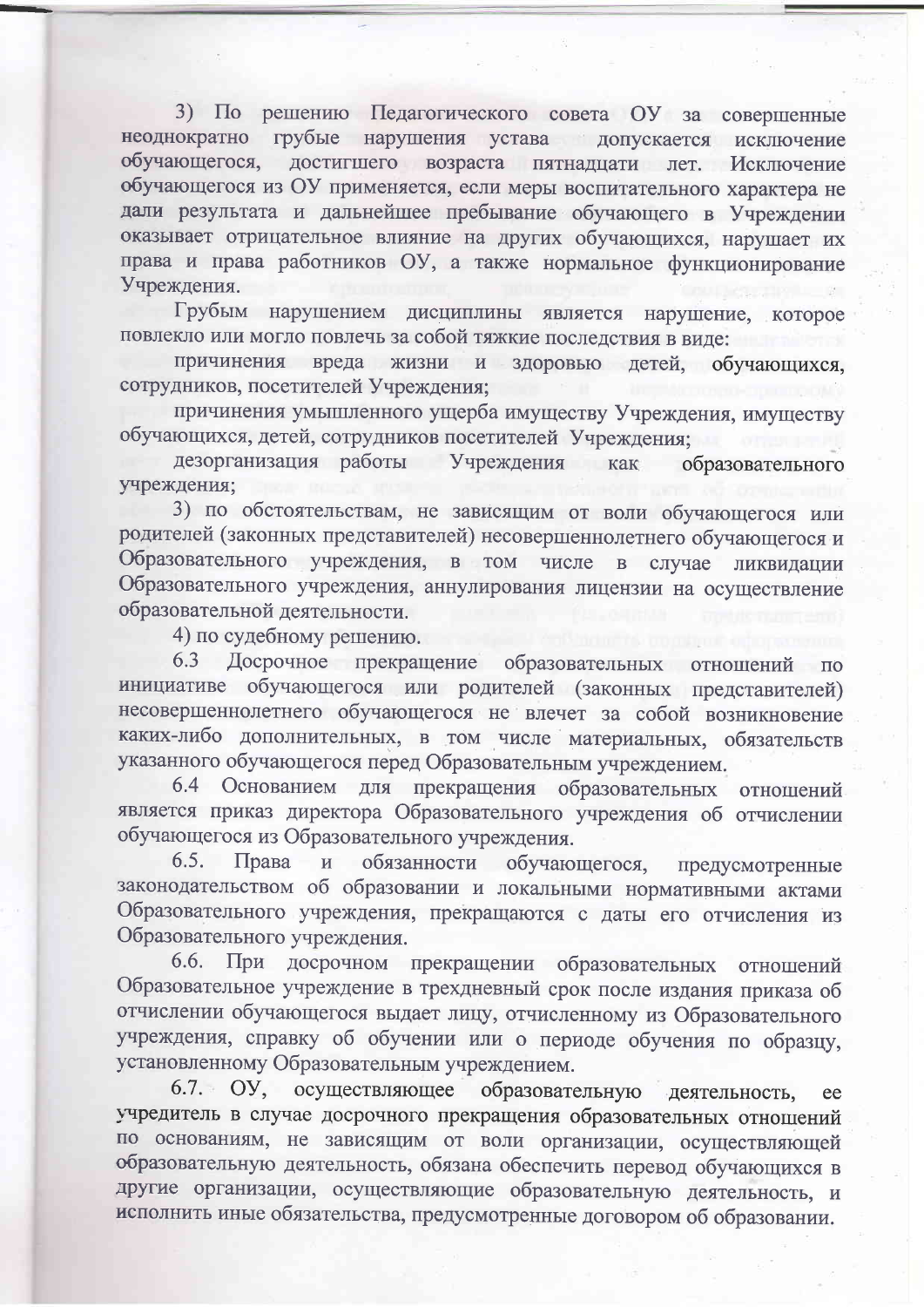3) По решению Педагогического совета ОУ за совершенные неоднократно грубые нарушения устава допускается исключение обучающегося, достигшего возраста пятнадцати лет. Исключение обучающегося из ОУ применяется, если меры воспитательного характера не дали результата и дальнейшее пребывание обучающего в Учреждении оказывает отрицательное влияние на других обучающихся, нарушает их права и права работников ОУ, а также нормальное функционирование Учреждения.

Грубым нарушением дисциплины является нарушение, которое повлекло или могло повлечь за собой тяжкие последствия в виде:

причинения вреда жизни и здоровью детей, обучающихся, сотрудников, посетителей Учреждения;

причинения умышленного ущерба имуществу Учреждения, имуществу обучающихся, детей, сотрудников посетителей Учреждения;

дезорганизация работы Учреждения как образовательного учреждения:

3) по обстоятельствам, не зависящим от воли обучающегося или родителей (законных представителей) несовершеннолетнего обучающегося и Образовательного учреждения, в том числе в случае ликвидации Образовательного учреждения, аннулирования лицензии на осуществление образовательной деятельности.

4) по судебному решению.

Досрочное прекращение образовательных отношений по 6.3 инициативе обучающегося или родителей (законных представителей) несовершеннолетнего обучающегося не влечет за собой возникновение каких-либо дополнительных, в том числе материальных, обязательств указанного обучающегося перед Образовательным учреждением.

6.4 Основанием для прекращения образовательных отношений является приказ директора Образовательного учреждения об отчислении обучающегося из Образовательного учреждения.

обязанности обучающегося,  $6.5.$ Права  $\mathbf{H}$ предусмотренные законодательством об образовании и локальными нормативными актами Образовательного учреждения, прекращаются с даты его отчисления из Образовательного учреждения.

6.6. При досрочном прекращении образовательных отношений Образовательное учреждение в трехдневный срок после издания приказа об отчислении обучающегося выдает лицу, отчисленному из Образовательного учреждения, справку об обучении или о периоде обучения по образцу, установленному Образовательным учреждением.

образовательную 6.7. ОУ, осуществляющее деятельность, ee учредитель в случае досрочного прекращения образовательных отношений по основаниям, не зависящим от воли организации, осуществляющей образовательную деятельность, обязана обеспечить перевод обучающихся в другие организации, осуществляющие образовательную деятельность, и исполнить иные обязательства, предусмотренные договором об образовании.